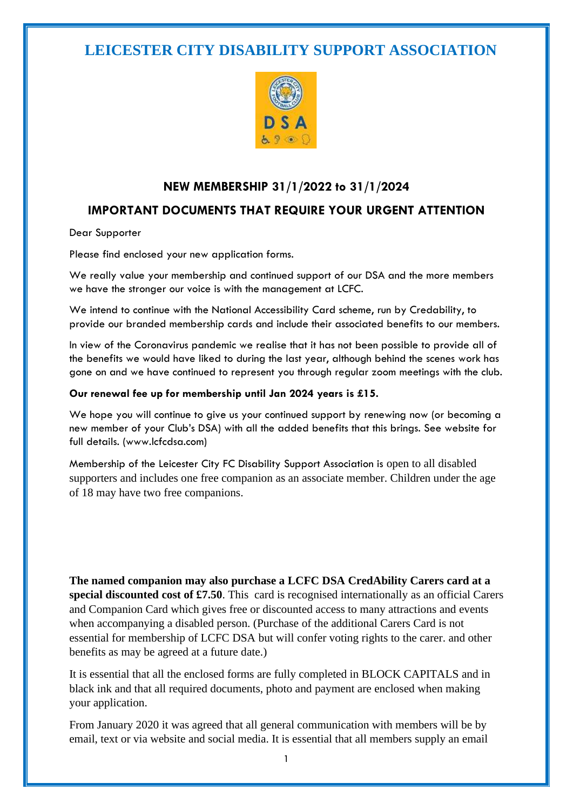## **LEICESTER CITY DISABILITY SUPPORT ASSOCIATION**



### **NEW MEMBERSHIP 31/1/2022 to 31/1/2024**

### **IMPORTANT DOCUMENTS THAT REQUIRE YOUR URGENT ATTENTION**

Dear Supporter

Please find enclosed your new application forms.

We really value your membership and continued support of our DSA and the more members we have the stronger our voice is with the management at LCFC.

We intend to continue with the National Accessibility Card scheme, run by Credability, to provide our branded membership cards and include their associated benefits to our members.

In view of the Coronavirus pandemic we realise that it has not been possible to provide all of the benefits we would have liked to during the last year, although behind the scenes work has gone on and we have continued to represent you through regular zoom meetings with the club.

#### **Our renewal fee up for membership until Jan 2024 years is £15.**

We hope you will continue to give us your continued support by renewing now (or becoming a new member of your Club's DSA) with all the added benefits that this brings. See website for full details. (www.lcfcdsa.com)

Membership of the Leicester City FC Disability Support Association is open to all disabled supporters and includes one free companion as an associate member. Children under the age of 18 may have two free companions.

**The named companion may also purchase a LCFC DSA CredAbility Carers card at a special discounted cost of £7.50**. This card is recognised internationally as an official Carers and Companion Card which gives free or discounted access to many attractions and events when accompanying a disabled person. (Purchase of the additional Carers Card is not essential for membership of LCFC DSA but will confer voting rights to the carer. and other benefits as may be agreed at a future date.)

It is essential that all the enclosed forms are fully completed in BLOCK CAPITALS and in black ink and that all required documents, photo and payment are enclosed when making your application.

From January 2020 it was agreed that all general communication with members will be by email, text or via website and social media. It is essential that all members supply an email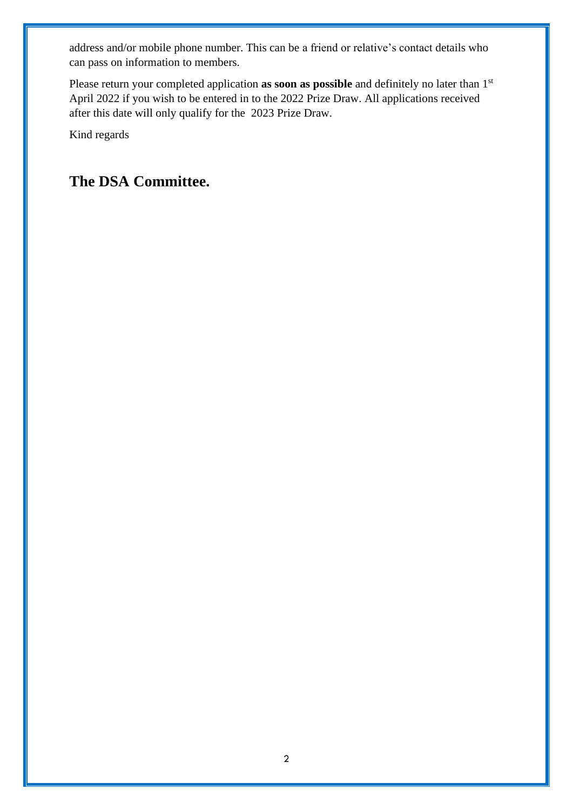address and/or mobile phone number. This can be a friend or relative's contact details who can pass on information to members.

Please return your completed application **as soon as possible** and definitely no later than 1<sup>st</sup> April 2022 if you wish to be entered in to the 2022 Prize Draw. All applications received after this date will only qualify for the 2023 Prize Draw.

Kind regards

## **The DSA Committee.**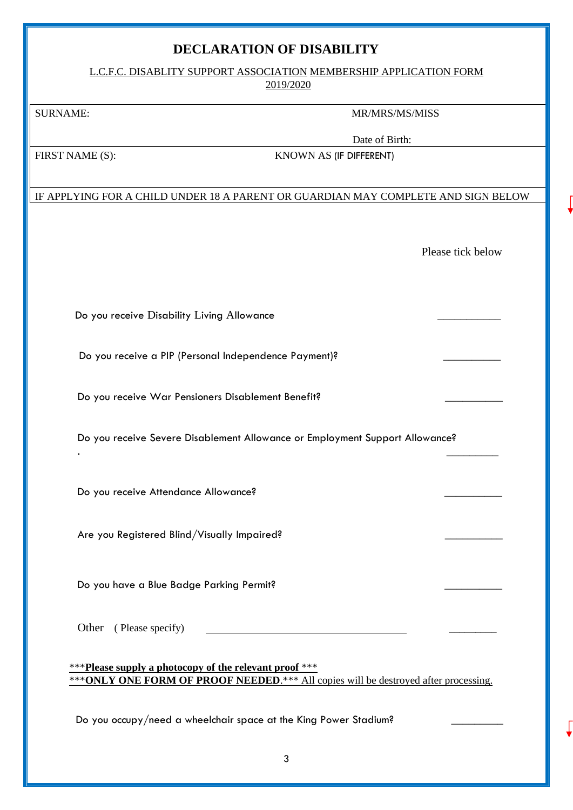### **DECLARATION OF DISABILITY**

L.C.F.C. DISABLITY SUPPORT ASSOCIATION MEMBERSHIP APPLICATION FORM 2019/2020

#### SURNAME: MR/MRS/MS/MISS

Date of Birth:

FIRST NAME (S): KNOWN AS (IF DIFFERENT)

#### IF APPLYING FOR A CHILD UNDER 18 A PARENT OR GUARDIAN MAY COMPLETE AND SIGN BELOW

Please tick below

Do you receive Disability Living Allowance

Do you receive a PIP (Personal Independence Payment)?

Do you receive War Pensioners Disablement Benefit?

Do you receive Severe Disablement Allowance or Employment Support Allowance? . \_\_\_\_\_\_\_\_\_

Do you receive Attendance Allowance?

Are you Registered Blind/Visually Impaired?

Do you have a Blue Badge Parking Permit?

Other (Please specify)

\*\*\***Please supply a photocopy of the relevant proof** \*\*\* \*\*\***ONLY ONE FORM OF PROOF NEEDED.**\*\*\* All copies will be destroyed after processing.

Do you occupy/need a wheelchair space at the King Power Stadium?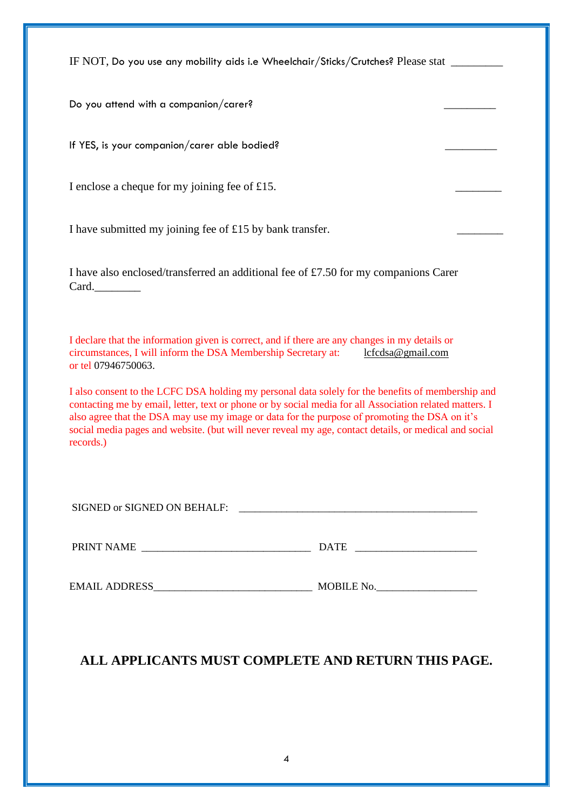IF NOT, Do you use any mobility aids i.e Wheelchair/Sticks/Crutches? Please stat \_\_\_\_\_\_\_\_\_

Do you attend with a companion/carer?

If YES, is your companion/carer able bodied?

I enclose a cheque for my joining fee of  $£15$ .

I have submitted my joining fee of  $£15$  by bank transfer.

I have also enclosed/transferred an additional fee of £7.50 for my companions Carer Card.

I declare that the information given is correct, and if there are any changes in my details or circumstances, I will inform the DSA Membership Secretary at: [lcfcdsa@gmail.com](mailto:lcfcdsa@gmail.com)  or tel 07946750063.

I also consent to the LCFC DSA holding my personal data solely for the benefits of membership and contacting me by email, letter, text or phone or by social media for all Association related matters. I also agree that the DSA may use my image or data for the purpose of promoting the DSA on it's social media pages and website. (but will never reveal my age, contact details, or medical and social records.)

| SIGNED or SIGNED ON BEHALF: |  |
|-----------------------------|--|
|-----------------------------|--|

PRINT NAME \_\_\_\_\_\_\_\_\_\_\_\_\_\_\_\_\_\_\_\_\_\_\_\_\_\_\_\_\_\_\_\_ DATE \_\_\_\_\_\_\_\_\_\_\_\_\_\_\_\_\_\_\_\_\_\_\_

EMAIL ADDRESS\_\_\_\_\_\_\_\_\_\_\_\_\_\_\_\_\_\_\_\_\_\_\_\_\_\_\_\_\_\_ MOBILE No.\_\_\_\_\_\_\_\_\_\_\_\_\_\_\_\_\_\_\_

## **ALL APPLICANTS MUST COMPLETE AND RETURN THIS PAGE.**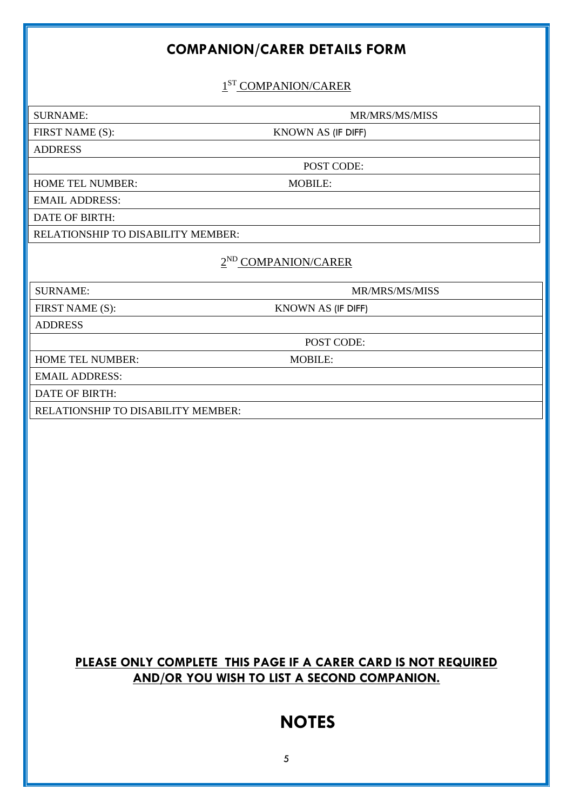## **COMPANION/CARER DETAILS FORM**

1<sup>ST</sup> COMPANION/CARER

SURNAME: MR/MRS/MS/MISS

FIRST NAME (S): KNOWN AS (IF DIFF)

ADDRESS

POST CODE:

HOME TEL NUMBER: MOBILE:

EMAIL ADDRESS: DATE OF BIRTH:

RELATIONSHIP TO DISABILITY MEMBER:

#### 2<sup>ND</sup> COMPANION/CARER

SURNAME: MR/MRS/MS/MISS

FIRST NAME (S): KNOWN AS (IF DIFF)

POST CODE:

ADDRESS

HOME TEL NUMBER: MOBILE:

EMAIL ADDRESS:

DATE OF BIRTH:

RELATIONSHIP TO DISABILITY MEMBER:

### **PLEASE ONLY COMPLETE THIS PAGE IF A CARER CARD IS NOT REQUIRED AND/OR YOU WISH TO LIST A SECOND COMPANION.**

# **NOTES**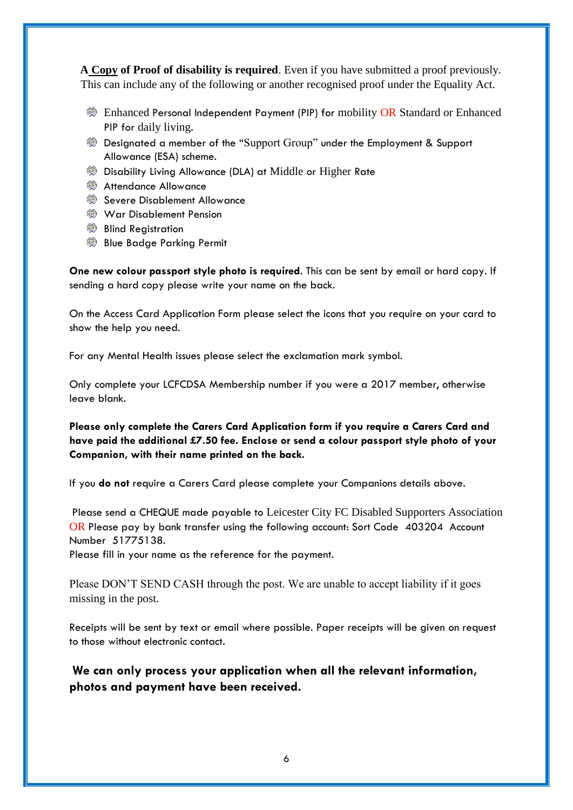**A Copy of Proof of disability is required**. Even if you have submitted a proof previously. This can include any of the following or another recognised proof under the Equality Act.

- **Enhanced Personal Independent Payment (PIP) for mobility OR Standard or Enhanced** PIP for daily living.
- Designated a member of the "Support Group" under the Employment & Support Allowance (ESA) scheme.
- **@ Disability Living Allowance (DLA) at Middle or Higher Rate**
- **参 Attendance Allowance**
- Severe Disablement Allowance
- **War Disablement Pension**
- **参 Blind Registration**
- **Blue Badge Parking Permit**

**One new colour passport style photo is required**. This can be sent by email or hard copy. If sending a hard copy please write your name on the back.

On the Access Card Application Form please select the icons that you require on your card to show the help you need.

For any Mental Health issues please select the exclamation mark symbol.

Only complete your LCFCDSA Membership number if you were a 2017 member, otherwise leave blank.

**Please only complete the Carers Card Application form if you require a Carers Card and have paid the additional £7.50 fee. Enclose or send a colour passport style photo of your Companion, with their name printed on the back.**

If you **do not** require a Carers Card please complete your Companions details above.

Please send a CHEQUE made payable to Leicester City FC Disabled Supporters Association OR Please pay by bank transfer using the following account: Sort Code 403204 Account Number 51775138.

Please fill in your name as the reference for the payment.

Please DON'T SEND CASH through the post. We are unable to accept liability if it goes missing in the post.

Receipts will be sent by text or email where possible. Paper receipts will be given on request to those without electronic contact.

**We can only process your application when all the relevant information, photos and payment have been received.**